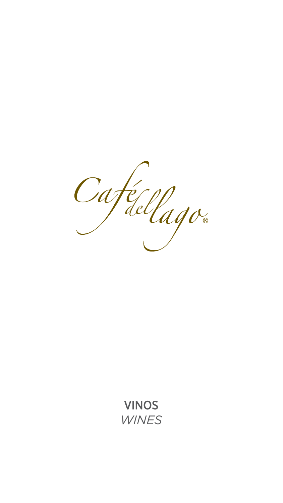

## VINOS

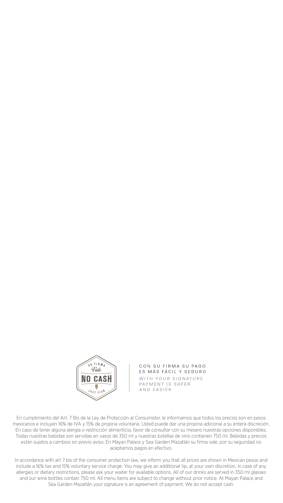

CON SU FIRMA SU PAGO ES MÁS FÁCIL Y SEGURO WITH YOUR SIGNATURE PAYMENT IS SAFER AND EASIER

En cumplimiento del Art. 7 Bis de la Ley de Protección al Consumidor, le informamos que todos los precios son en pesos mexicanos e incluyen 16% de IVA y 15% de propina voluntaria. Usted puede dar una propina adicional a su entera discreción. En caso de tener alguna alergia o restricción alimenticia, favor de consultar con su mesero nuestras opciones disponibles. Todas nuestras bebidas son servidas en vasos de 350 ml y nuestras botellas de vino contienen 750 ml. Bebidas y precios están sujetos a cambios sin previo aviso. En Mayan Palace y Sea Garden Mazatlán su firma vale, por su seguridad no aceptamos pagos en efectivo.

In accordance with art 7 bis of the consumer protection law, we inform you that all prices are shown in Mexican pesos and include a 16% tax and 15% voluntary service charge. You may give an additional tip, at your own discretion. In case of any allergies or dietary restrictions, please ask your waiter for available options. All of our drinks are served in 350 ml glasses and our wine bottles contain 750 ml. All menu items are subject to change without prior notice. At Mayan Palace and Sea Garden Mazatlán your signature is an agreement of payment. We do not accept cash.

· · ·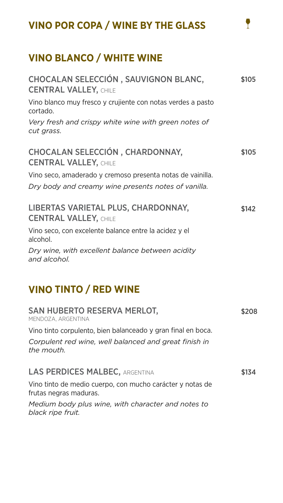## **VINO POR COPA / WINE BY THE GLASS**

## **VINO BLANCO / WHITE WINE**

Vino blanco muy fresco y crujiente con notas verdes a pasto cortado.

*Very fresh and crispy white wine with green notes of cut grass.*

Vino seco, amaderado y cremoso presenta notas de vainilla. *Dry body and creamy wine presents notes of vanilla.*

Corpulent red wine, well balanced and great finish in *the mouth.*

## LAS PERDICES MALBEC, ARGENTINA

### LIBERTAS VARIETAL PLUS, CHARDONNAY, CENTRAL VALLEY, CHILE

Vino seco, con excelente balance entre la acidez y el alcohol.

#### CHOCALAN SELECCIÓN , SAUVIGNON BLANC, CENTRAL VALLEY, CHILE \$105

*Dry wine, with excellent balance between acidity and alcohol.*

## **VINO TINTO / RED WINE**

#### CHOCALAN SELECCIÓN , CHARDONNAY, CENTRAL VALLEY, CHILE \$105

## SAN HUBERTO RESERVA MERLOT,

MENDOZA, ARGENTINA

Vino tinto corpulento, bien balanceado y gran final en boca.

Vino tinto de medio cuerpo, con mucho carácter y notas de frutas negras maduras.

*Medium body plus wine, with character and notes to* 

#### *black ripe fruit.*

\$134

\$208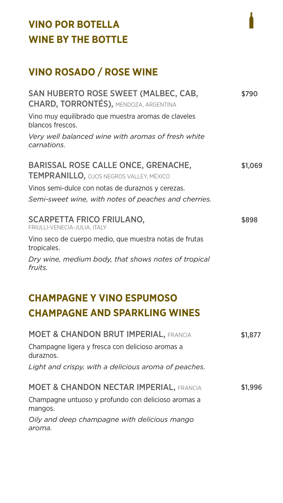## **VINO POR BOTELLA WINE BY THE BOTTLE**

## **VINO ROSADO / ROSE WINE**

### SAN HUBERTO ROSE SWEET (MALBEC, CAB, CHARD, TORRONTÉS), MENDOZA, ARGENTINA

Vino muy equilibrado que muestra aromas de claveles blancos frescos.

*Very well balanced wine with aromas of fresh white carnations.*

## BARISSAL ROSE CALLE ONCE, GRENACHE, TEMPRANILLO, OJOS NEGROS VALLEY, MÉXICO

Vinos semi-dulce con notas de duraznos y cerezas.

*Semi-sweet wine, with notes of peaches and cherries.*

SCARPETTA FRICO FRIULANO, FRIULLI-VENECIA-JULIA, ITALY

Vino seco de cuerpo medio, que muestra notas de frutas tropicales.

*Dry wine, medium body, that shows notes of tropical fruits.*

## **CHAMPAGNE Y VINO ESPUMOSO CHAMPAGNE AND SPARKLING WINES**

| <b>MOET &amp; CHANDON BRUT IMPERIAL, FRANCIA</b>              | \$1,877 |
|---------------------------------------------------------------|---------|
| Champagne ligera y fresca con delicioso aromas a<br>duraznos. |         |
| Light and crispy, with a delicious aroma of peaches.          |         |
| <b>MOET &amp; CHANDON NECTAR IMPERIAL, FRANCIA</b>            | \$1,996 |
| Champagne untuoso y profundo con delicioso aromas a           |         |

mangos.

#### *Oily and deep champagne with delicious mango aroma.*

\$790

\$1,069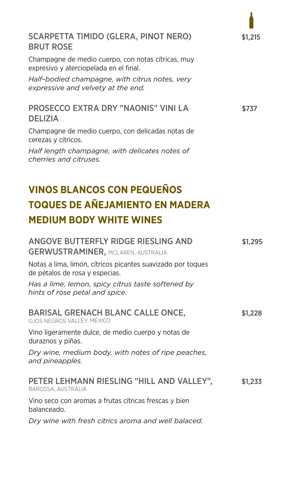## SCARPETTA TIMIDO (GLERA, PINOT NERO) BRUT ROSE

Champagne de medio cuerpo, con notas cítricas, muy expresivo y aterciopelada en el final.

*Half–bodied champagne, with citrus notes, very expressive and velvety at the end.*

### PROSECCO EXTRA DRY "NAONIS" VINI LA DELIZIA

Champagne de medio cuerpo, con delicadas notas de cerezas y cítricos.

*Half length champagne, with delicates notes of cherries and citruses.* 

## **VINOS BLANCOS CON PEQUEÑOS TOQUES DE AÑEJAMIENTO EN MADERA MEDIUM BODY WHITE WINES**

### ANGOVE BUTTERFLY RIDGE RIESLING AND GERWUSTRAMINER, MCLAREN, AUSTRALIA

Notas a lima, limón, cítricos picantes suavizado por toques de pétalos de rosa y especias.

*Has a lime, lemon, spicy citrus taste softened by hints of rose petal and spice.*

#### BARISAL GRENACH BLANC CALLE ONCE, OJOS NEGROS VALLEY, MÉXICO

Vino ligeramente dulce, de medio cuerpo y notas de duraznos y piñas.

*Dry wine, medium body, with notes of ripe peaches, and pineapples.*

## PETER LEHMANN RIESLING "HILL AND VALLEY",

BAROSSA, AUSTRALIA

Vino seco con aromas a frutas cítricas frescas y bien balanceado.

#### *Dry wine with fresh citrics aroma and well balaced.*

\$1,215

\$1,295

\$1,233

\$1,228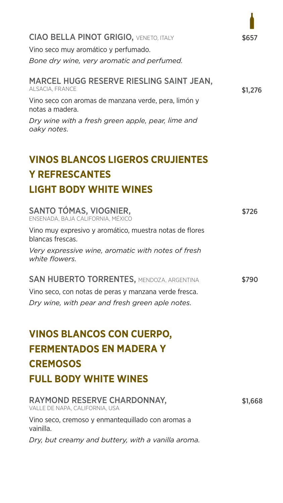## CIAO BELLA PINOT GRIGIO, VENETO, ITALY

Vino seco muy aromático y perfumado.

*Bone dry wine, very aromatic and perfumed.*

#### MARCEL HUGG RESERVE RIESLING SAINT JEAN, ALSACIA, FRANCE

Vino seco con aromas de manzana verde, pera, limón y notas a madera.

*Dry wine with a fresh green apple, pear, lime and oaky notes.*

*white flowers.* SAN HUBERTO TORRENTES, MENDOZA, ARGENTINA

## **VINOS BLANCOS LIGEROS CRUJIENTES Y REFRESCANTES LIGHT BODY WHITE WINES**

Vino muy expresivo y aromático, muestra notas de flores blancas frescas.

*Very expressive wine, aromatic with notes of fresh* 

Vino seco, con notas de peras y manzana verde fresca.

*Dry wine, with pear and fresh green aple notes.*

# **VINOS BLANCOS CON CUERPO, FERMENTADOS EN MADERA Y CREMOSOS FULL BODY WHITE WINES**

RAYMOND RESERVE CHARDONNAY, VALLE DE NAPA, CALIFORNIA, USA

### Vino seco, cremoso y enmantequillado con aromas a vainilla.

*Dry, but creamy and buttery, with a vanilla aroma.*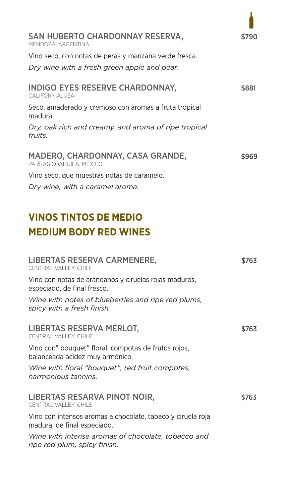SAN HUBERTO CHARDONNAY RESERVA, MENDOZA, ARGENTINA

Vino seco, con notas de peras y manzana verde fresca.

*Dry wine with a fresh green apple and pear.*

Seco, amaderado y cremoso con aromas a fruta tropical madura.

*Dry, oak rich and creamy, and aroma of ripe tropical fruits.*

Vino seco, que muestras notas de caramelo.

*Dry wine, with a caramel aroma.*

## **VINOS TINTOS DE MEDIO MEDIUM BODY RED WINES**

LIBERTAS RESERVA CARMENERE, CENTRAL VALLEY, CHILE

Vino con notas de arándanos y ciruelas rojas maduros, especiado, de final fresco.

```
INDIGO EYES RESERVE CHARDONNAY, 
CALIFORNIA, USA
                                                      $881
```
*Wine with notes of blueberries and ripe red plums, spicy with a fresh finish.*

## LIBERTAS RESERVA MERLOT,

#### MADERO, CHARDONNAY, CASA GRANDE, PARRAS COAHUILA, MÉXICO \$969

CENTRAL VALLEY, CHILE

Vino con" bouquet" floral, compotas de frutos rojos, balanceada acidez muy armónico.

*Wine with floral "bouquet", red fruit compotes, harmonious tannins.*

### LIBERTAS RESARVA PINOT NOIR, CENTRAL VALLEY, CHILE

Vino con intensos aromas a chocolate, tabaco y ciruela roja madura, de final especiado.

*Wine with intense aromas of chocolate, tobacco and ripe red plum, spicy finish.*

\$790

\$763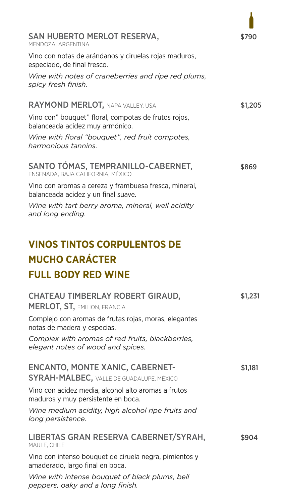SAN HUBERTO MERLOT RESERVA, MENDOZA, ARGENTINA

Vino con notas de arándanos y ciruelas rojas maduros,

especiado, de final fresco.

*Wine with tart berry aroma, mineral, well acidity and long ending.*

# **VINOS TINTOS CORPULENTOS DE MUCHO CARÁCTER FULL BODY RED WINE**

Complejo con aromas de frutas rojas, moras, elegantes notas de madera y especias.

| Wine with notes of craneberries and ripe red plums,<br>spicy fresh finish.                   |         |
|----------------------------------------------------------------------------------------------|---------|
| <b>RAYMOND MERLOT, NAPA VALLEY, USA</b>                                                      | \$1,205 |
| Vino con" bouquet" floral, compotas de frutos rojos,<br>balanceada acidez muy armónico.      |         |
| Wine with floral "bouquet", red fruit compotes,<br>harmonious tannins.                       |         |
| SANTO TÓMAS, TEMPRANILLO-CABERNET,<br>ENSENADA, BAJA CALIFORNIA, MÉXICO                      | \$869   |
| Vino con aromas a cereza y frambuesa fresca, mineral,<br>balanceada acidez y un final suave. |         |

*Complex with aromas of red fruits, blackberries, elegant notes of wood and spices.*

Vino con acidez media, alcohol alto aromas a frutos maduros y muy persistente en boca.

#### CHATEAU TIMBERLAY ROBERT GIRAUD, MERLOT, ST, EMILION, FRANCIA \$1,231

*Wine medium acidity, high alcohol ripe fruits and long persistence.*

#### ENCANTO, MONTE XANIC, CABERNET-SYRAH-MALBEC, VALLE DE GUADALUPE, MÉXICO \$1,181

#### LIBERTAS GRAN RESERVA CABERNET/SYRAH, MAULE, CHILE

Vino con intenso bouquet de ciruela negra, pimientos y amaderado, largo final en boca.

*Wine with intense bouquet of black plums, bell peppers, oaky and a long finish.*